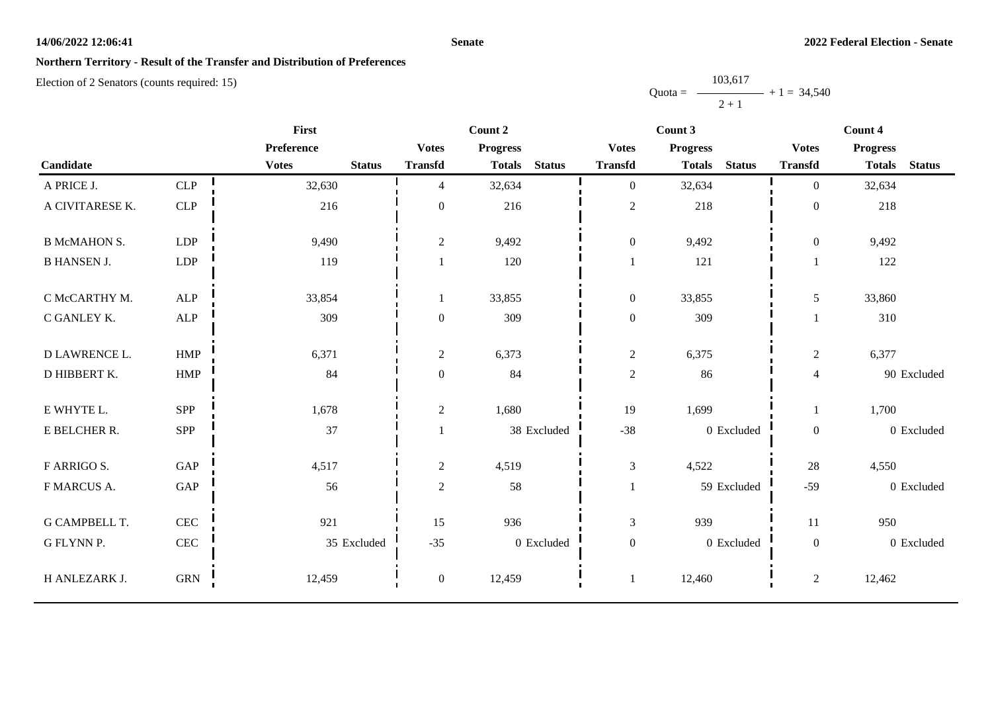### **Senate**

## **Northern Territory - Result of the Transfer and Distribution of Preferences**

|           | 103,617 |               |
|-----------|---------|---------------|
| $Quota =$ |         | $+1 = 34,540$ |
|           | $2 + 1$ |               |

|                      |              | <b>First</b>                  |                  | Count 2                        |                  | Count 3                        |                  | Count 4                        |  |  |
|----------------------|--------------|-------------------------------|------------------|--------------------------------|------------------|--------------------------------|------------------|--------------------------------|--|--|
|                      |              | Preference                    | <b>Votes</b>     | <b>Progress</b>                | <b>Votes</b>     | <b>Progress</b>                | <b>Votes</b>     | <b>Progress</b>                |  |  |
| Candidate            |              | <b>Votes</b><br><b>Status</b> | <b>Transfd</b>   | <b>Status</b><br><b>Totals</b> | <b>Transfd</b>   | <b>Status</b><br><b>Totals</b> | <b>Transfd</b>   | <b>Status</b><br><b>Totals</b> |  |  |
| A PRICE J.           | CLP          | 32,630                        | $\overline{4}$   | 32,634                         | $\boldsymbol{0}$ | 32,634                         | $\overline{0}$   | 32,634                         |  |  |
| A CIVITARESE K.      | CLP          | 216                           | $\boldsymbol{0}$ | 216                            | $\sqrt{2}$       | 218                            | $\boldsymbol{0}$ | 218                            |  |  |
| <b>B McMAHON S.</b>  | <b>LDP</b>   | 9,490                         | $\overline{2}$   | 9,492                          | $\boldsymbol{0}$ | 9,492                          | $\boldsymbol{0}$ | 9,492                          |  |  |
| <b>B HANSEN J.</b>   | LDP          | 119                           |                  | 120                            | $\mathbf{1}$     | 121                            |                  | 122                            |  |  |
| C McCARTHY M.        | <b>ALP</b>   | 33,854                        |                  | 33,855                         | $\boldsymbol{0}$ | 33,855                         | 5                | 33,860                         |  |  |
| C GANLEY K.          | <b>ALP</b>   | 309                           | $\mathbf{0}$     | 309                            | $\boldsymbol{0}$ | 309                            |                  | 310                            |  |  |
| D LAWRENCE L.        | HMP          | 6,371                         | $\overline{2}$   | 6,373                          | $\mathfrak{2}$   | 6,375                          | $\overline{c}$   | 6,377                          |  |  |
| D HIBBERT K.         | ${\rm HMP}$  | 84                            | $\mathbf{0}$     | 84                             | $\sqrt{2}$       | 86                             | $\overline{4}$   | 90 Excluded                    |  |  |
| E WHYTE L.           | <b>SPP</b>   | 1,678                         | $\sqrt{2}$       | 1,680                          | 19               | 1,699                          | 1                | 1,700                          |  |  |
| E BELCHER R.         | <b>SPP</b>   | 37                            |                  | 38 Excluded                    | $-38$            | 0 Excluded                     | $\boldsymbol{0}$ | 0 Excluded                     |  |  |
| <b>F ARRIGO S.</b>   | GAP          | 4,517                         | $\overline{2}$   | 4,519                          | $\mathfrak{Z}$   | 4,522                          | 28               | 4,550                          |  |  |
| F MARCUS A.          | GAP          | 56                            | $\overline{2}$   | 58                             | 1                | 59 Excluded                    | $-59$            | 0 Excluded                     |  |  |
| <b>G CAMPBELL T.</b> | $\mbox{CEC}$ | 921                           | 15               | 936                            | $\mathfrak{Z}$   | 939                            | 11               | 950                            |  |  |
| G FLYNN P.           | $\mbox{CEC}$ | 35 Excluded                   | $-35$            | 0 Excluded                     | $\boldsymbol{0}$ | 0 Excluded                     | $\boldsymbol{0}$ | 0 Excluded                     |  |  |
| H ANLEZARK J.        | ${\rm GRN}$  | 12,459                        | $\overline{0}$   | 12,459                         |                  | 12,460                         | $\overline{2}$   | 12,462                         |  |  |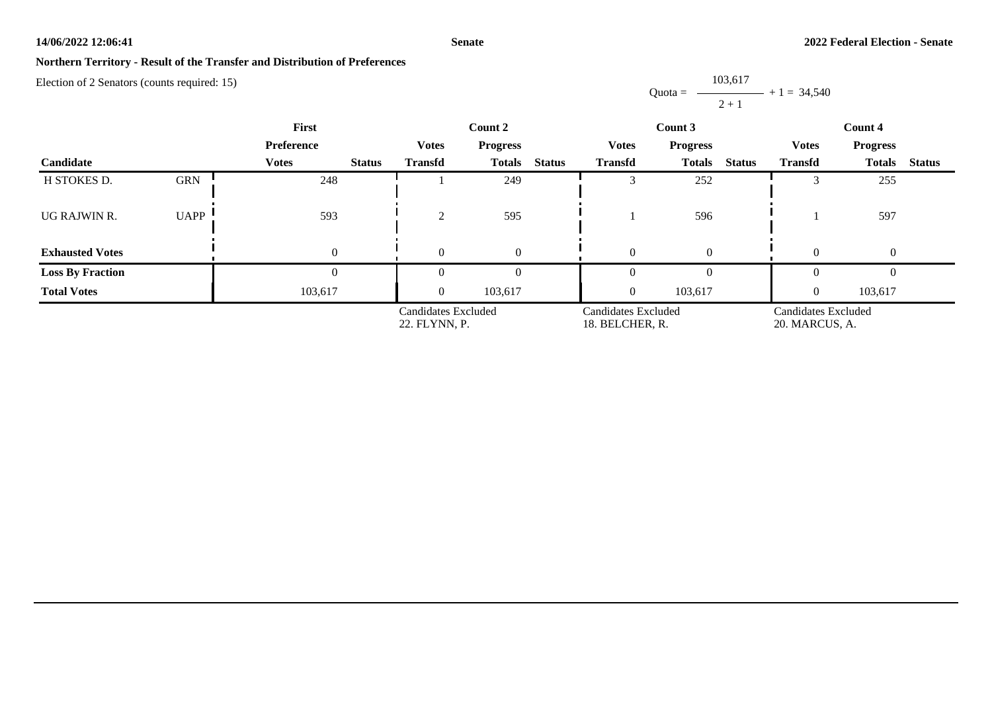#### **Senate**

## **Northern Territory - Result of the Transfer and Distribution of Preferences**

Election of 2 Senators (counts required: 15)

Quota =  $-$ 103,617  $2 + 1$  $+ 1 = 34,540$ 

| <b>First</b>            |             |                               |                                      | Count 2         |               |                                        | Count 3       |               | Count 4                               |               |               |
|-------------------------|-------------|-------------------------------|--------------------------------------|-----------------|---------------|----------------------------------------|---------------|---------------|---------------------------------------|---------------|---------------|
|                         |             | <b>Preference</b>             | <b>Votes</b>                         | <b>Progress</b> |               | <b>Votes</b><br><b>Progress</b>        |               |               | <b>Votes</b><br><b>Progress</b>       |               |               |
| Candidate               |             | <b>Votes</b><br><b>Status</b> | <b>Transfd</b>                       | <b>Totals</b>   | <b>Status</b> | <b>Transfd</b>                         | <b>Totals</b> | <b>Status</b> | <b>Transfd</b>                        | <b>Totals</b> | <b>Status</b> |
| H STOKES D.             | <b>GRN</b>  | 248                           |                                      | 249             |               |                                        | 252           |               |                                       | 255           |               |
| UG RAJWIN R.            | <b>UAPP</b> | 593                           | $\gamma$                             | 595             |               |                                        | 596           |               |                                       | 597           |               |
| <b>Exhausted Votes</b>  |             | $\overline{0}$                | $\Omega$                             | $\theta$        |               | $\theta$                               | $\Omega$      |               | $\Omega$                              | $\Omega$      |               |
| <b>Loss By Fraction</b> |             | $\theta$                      | $\theta$                             | $\theta$        |               | $\theta$                               | $\theta$      |               | $\mathbf{0}$                          |               |               |
| <b>Total Votes</b>      |             | 103,617                       | $\overline{0}$                       | 103,617         |               | $\boldsymbol{0}$                       | 103,617       |               | $\Omega$                              | 103,617       |               |
|                         |             |                               | Candidates Excluded<br>22. FLYNN, P. |                 |               | Candidates Excluded<br>18. BELCHER, R. |               |               | Candidates Excluded<br>20. MARCUS, A. |               |               |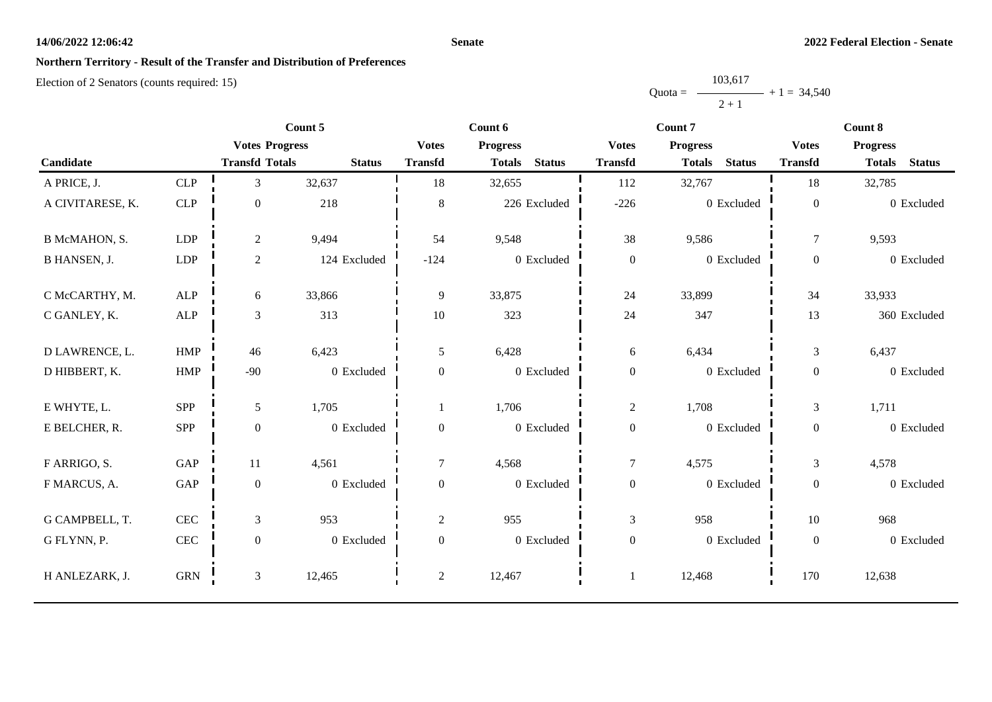### **Senate**

## **Northern Territory - Result of the Transfer and Distribution of Preferences**

|           | 103,617 |               |
|-----------|---------|---------------|
| $Quota =$ |         | $+1 = 34,540$ |
|           | $2 + 1$ |               |

|                     |                      | Count 5               |               |                  | Count 6                        |                  | Count 7                        | Count 8          |                                |  |
|---------------------|----------------------|-----------------------|---------------|------------------|--------------------------------|------------------|--------------------------------|------------------|--------------------------------|--|
|                     |                      | <b>Votes Progress</b> |               | <b>Votes</b>     | <b>Progress</b>                | <b>Votes</b>     | <b>Progress</b>                | <b>Votes</b>     | <b>Progress</b>                |  |
| Candidate           |                      | <b>Transfd Totals</b> | <b>Status</b> | <b>Transfd</b>   | <b>Status</b><br><b>Totals</b> | <b>Transfd</b>   | <b>Status</b><br><b>Totals</b> | <b>Transfd</b>   | <b>Status</b><br><b>Totals</b> |  |
| A PRICE, J.         | CLP                  | 3                     | 32,637        | 18               | 32,655                         | 112              | 32,767                         | 18               | 32,785                         |  |
| A CIVITARESE, K.    | <b>CLP</b>           | $\mathbf{0}$          | 218           | $\,8\,$          | 226 Excluded                   | $-226$           | 0 Excluded                     | $\boldsymbol{0}$ | 0 Excluded                     |  |
| B McMAHON, S.       | <b>LDP</b>           | $\overline{c}$        | 9,494         | 54               | 9,548                          | 38               | 9,586                          | $\tau$           | 9,593                          |  |
| <b>B HANSEN, J.</b> | LDP                  | $\overline{c}$        | 124 Excluded  | $-124$           | 0 Excluded                     | $\boldsymbol{0}$ | 0 Excluded                     | $\boldsymbol{0}$ | 0 Excluded                     |  |
| C McCARTHY, M.      | <b>ALP</b>           | 6                     | 33,866        | 9                | 33,875                         | 24               | 33,899                         | 34               | 33,933                         |  |
| C GANLEY, K.        | ALP                  | 3                     | 313           | 10               | 323                            | 24               | 347                            | 13               | 360 Excluded                   |  |
| D LAWRENCE, L.      | ${\rm HMP}$          | 46                    | 6,423         | $\mathfrak{S}$   | 6,428                          | 6                | 6,434                          | $\mathfrak{Z}$   | 6,437                          |  |
| D HIBBERT, K.       | <b>HMP</b>           | $-90$                 | 0 Excluded    | $\mathbf{0}$     | 0 Excluded                     | $\boldsymbol{0}$ | 0 Excluded                     | $\boldsymbol{0}$ | 0 Excluded                     |  |
| E WHYTE, L.         | SPP                  | 5                     | 1,705         |                  | 1,706                          | $\overline{c}$   | 1,708                          | $\mathfrak{Z}$   | 1,711                          |  |
| E BELCHER, R.       | SPP                  | $\boldsymbol{0}$      | 0 Excluded    | $\mathbf{0}$     | 0 Excluded                     | $\boldsymbol{0}$ | 0 Excluded                     | $\boldsymbol{0}$ | 0 Excluded                     |  |
| F ARRIGO, S.        | GAP                  | 11                    | 4,561         | $\overline{7}$   | 4,568                          | $\boldsymbol{7}$ | 4,575                          | 3                | 4,578                          |  |
| F MARCUS, A.        | $\operatorname{GAP}$ | $\boldsymbol{0}$      | 0 Excluded    | $\overline{0}$   | 0 Excluded                     | $\boldsymbol{0}$ | 0 Excluded                     | $\boldsymbol{0}$ | 0 Excluded                     |  |
| G CAMPBELL, T.      | $\mbox{CEC}$         | 3                     | 953           | $\sqrt{2}$       | 955                            | $\mathfrak{Z}$   | 958                            | $10\,$           | 968                            |  |
| G FLYNN, P.         | $\mbox{CEC}$         | $\boldsymbol{0}$      | 0 Excluded    | $\boldsymbol{0}$ | 0 Excluded                     | $\boldsymbol{0}$ | 0 Excluded                     | $\boldsymbol{0}$ | 0 Excluded                     |  |
| H ANLEZARK, J.      | ${\rm GRN}$          | 3                     | 12,465        | $\overline{2}$   | 12,467                         |                  | 12,468                         | 170              | 12,638                         |  |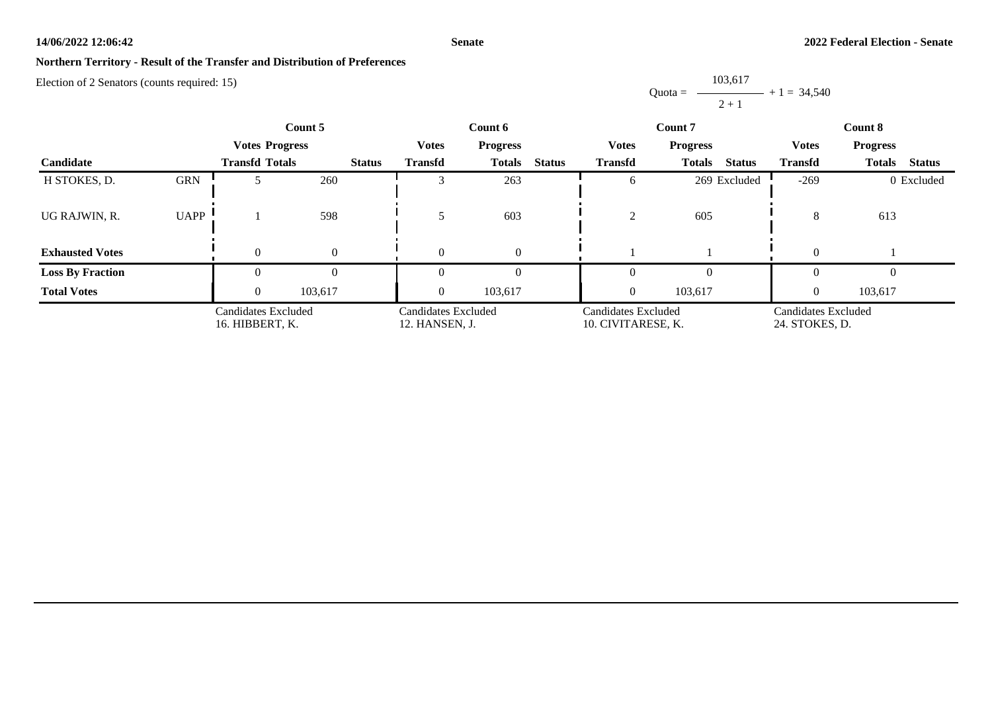### **Senate**

## **Northern Territory - Result of the Transfer and Distribution of Preferences**

Election of 2 Senators (counts required: 15)

Quota = 103,617  $2 + 1$  $+ 1 = 34,540$ 

|                         |                                        | Count 5               |          |                                       | Count 6                         |                                           |               |                                       | Count 7                        | Count 8        |                                |  |
|-------------------------|----------------------------------------|-----------------------|----------|---------------------------------------|---------------------------------|-------------------------------------------|---------------|---------------------------------------|--------------------------------|----------------|--------------------------------|--|
|                         |                                        | <b>Votes Progress</b> |          |                                       | <b>Votes</b><br><b>Progress</b> |                                           |               | <b>Votes</b>                          | <b>Progress</b>                | <b>Votes</b>   | <b>Progress</b>                |  |
| <b>Candidate</b>        |                                        | <b>Transfd Totals</b> |          | <b>Status</b>                         | <b>Transfd</b>                  | <b>Totals</b>                             | <b>Status</b> | <b>Transfd</b>                        | <b>Totals</b><br><b>Status</b> | <b>Transfd</b> | <b>Status</b><br><b>Totals</b> |  |
| H STOKES, D.            | <b>GRN</b>                             |                       | 260      |                                       |                                 | 263                                       |               | 6                                     | 269 Excluded                   | $-269$         | 0 Excluded                     |  |
| UG RAJWIN, R.           | <b>UAPP</b>                            |                       | 598      |                                       |                                 | 603                                       |               | $\sim$<br>∠                           | 605                            | 8              | 613                            |  |
| <b>Exhausted Votes</b>  |                                        |                       | $\Omega$ |                                       | $\Omega$                        | $\Omega$                                  |               |                                       |                                |                |                                |  |
| <b>Loss By Fraction</b> |                                        |                       |          |                                       |                                 |                                           |               | 0                                     |                                |                | $\Omega$                       |  |
| <b>Total Votes</b>      |                                        | $\Omega$              | 103,617  |                                       | $\Omega$                        | 103,617                                   |               | $\overline{0}$                        | 103,617                        |                | 103,617                        |  |
|                         | Candidates Excluded<br>16. HIBBERT, K. |                       |          | Candidates Excluded<br>12. HANSEN, J. |                                 | Candidates Excluded<br>10. CIVITARESE, K. |               | Candidates Excluded<br>24. STOKES, D. |                                |                |                                |  |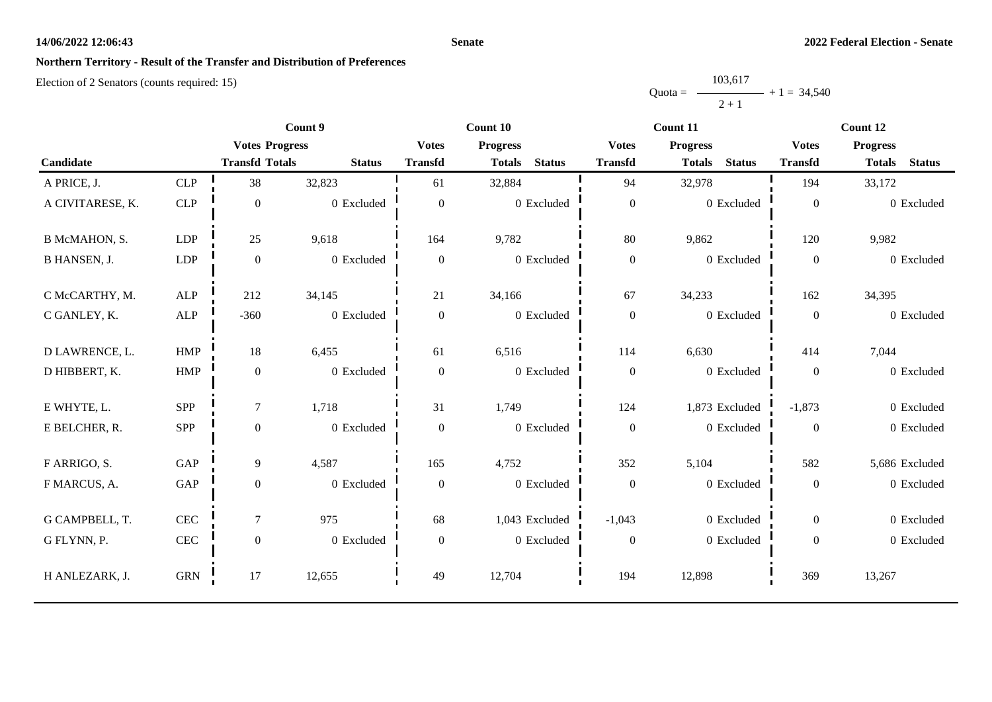### **Senate**

## **Northern Territory - Result of the Transfer and Distribution of Preferences**

|           | 103,617 |               |
|-----------|---------|---------------|
| $Quota =$ |         | $+1 = 34,540$ |
|           | $2 + 1$ |               |

|                     |              | Count 9               |               |                  | Count 10                       |                  | Count 11                       | Count 12         |                                |  |
|---------------------|--------------|-----------------------|---------------|------------------|--------------------------------|------------------|--------------------------------|------------------|--------------------------------|--|
|                     |              | <b>Votes Progress</b> |               | <b>Votes</b>     | <b>Progress</b>                | <b>Votes</b>     | <b>Progress</b>                | <b>Votes</b>     | <b>Progress</b>                |  |
| Candidate           |              | <b>Transfd Totals</b> | <b>Status</b> | <b>Transfd</b>   | <b>Status</b><br><b>Totals</b> | <b>Transfd</b>   | <b>Status</b><br><b>Totals</b> | <b>Transfd</b>   | <b>Status</b><br><b>Totals</b> |  |
| A PRICE, J.         | CLP          | 38                    | 32,823        | 61               | 32,884                         | 94               | 32,978                         | 194              | 33,172                         |  |
| A CIVITARESE, K.    | <b>CLP</b>   | $\mathbf{0}$          | 0 Excluded    | $\mathbf{0}$     | 0 Excluded                     | $\boldsymbol{0}$ | 0 Excluded                     | $\mathbf{0}$     | 0 Excluded                     |  |
| B McMAHON, S.       | <b>LDP</b>   | 25                    | 9,618         | 164              | 9,782                          | 80               | 9,862                          | 120              | 9,982                          |  |
| <b>B HANSEN, J.</b> | LDP          | $\boldsymbol{0}$      | 0 Excluded    | $\mathbf{0}$     | 0 Excluded                     | $\boldsymbol{0}$ | 0 Excluded                     | $\boldsymbol{0}$ | 0 Excluded                     |  |
| C McCARTHY, M.      | <b>ALP</b>   | 212                   | 34,145        | 21               | 34,166                         | 67               | 34,233                         | 162              | 34,395                         |  |
| C GANLEY, K.        | $\mbox{ALP}$ | $-360$                | 0 Excluded    | $\boldsymbol{0}$ | 0 Excluded                     | $\boldsymbol{0}$ | 0 Excluded                     | $\boldsymbol{0}$ | 0 Excluded                     |  |
| D LAWRENCE, L.      | HMP          | 18                    | 6,455         | 61               | 6,516                          | 114              | 6,630                          | 414              | 7,044                          |  |
| D HIBBERT, K.       | ${\rm HMP}$  | $\boldsymbol{0}$      | 0 Excluded    | $\theta$         | 0 Excluded                     | $\boldsymbol{0}$ | 0 Excluded                     | $\boldsymbol{0}$ | 0 Excluded                     |  |
| E WHYTE, L.         | SPP          | $\tau$                | 1,718         | 31               | 1,749                          | 124              | 1,873 Excluded                 | $-1,873$         | 0 Excluded                     |  |
| E BELCHER, R.       | SPP          | $\boldsymbol{0}$      | 0 Excluded    | $\theta$         | 0 Excluded                     | $\boldsymbol{0}$ | 0 Excluded                     | $\overline{0}$   | 0 Excluded                     |  |
| F ARRIGO, S.        | GAP          | 9                     | 4,587         | 165              | 4,752                          | 352              | 5,104                          | 582              | 5,686 Excluded                 |  |
| F MARCUS, A.        | GAP          | $\boldsymbol{0}$      | 0 Excluded    | $\mathbf{0}$     | 0 Excluded                     | $\boldsymbol{0}$ | 0 Excluded                     | $\boldsymbol{0}$ | 0 Excluded                     |  |
| G CAMPBELL, T.      | <b>CEC</b>   | $\tau$                | 975           | 68               | 1,043 Excluded                 | $-1,043$         | 0 Excluded                     | $\overline{0}$   | 0 Excluded                     |  |
| G FLYNN, P.         | <b>CEC</b>   | $\boldsymbol{0}$      | 0 Excluded    | $\boldsymbol{0}$ | 0 Excluded                     | $\boldsymbol{0}$ | 0 Excluded                     | $\boldsymbol{0}$ | 0 Excluded                     |  |
| H ANLEZARK, J.      | <b>GRN</b>   | 17                    | 12,655        | 49               | 12,704                         | 194              | 12,898                         | 369              | 13,267                         |  |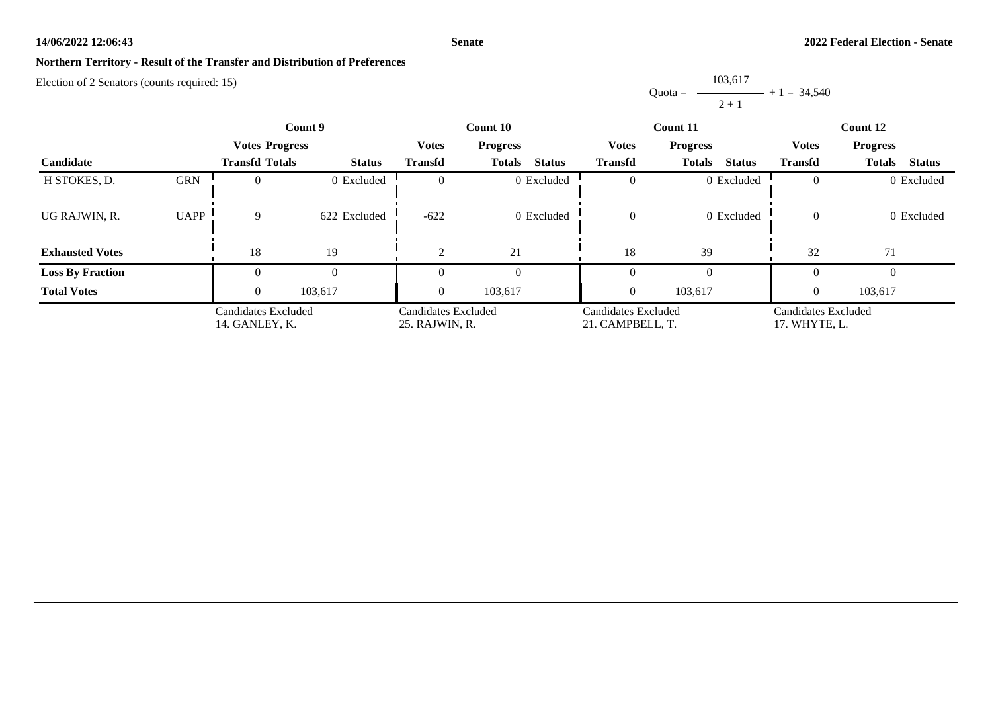### **Senate**

## **Northern Territory - Result of the Transfer and Distribution of Preferences**

Election of 2 Senators (counts required: 15)

Quota = 103,617  $2 + 1$  $+ 1 = 34,540$ 

|                         |                                       | Count 9               |                                       | Count 10       |                                         |                | Count 11                             | Count 12                        |                                |  |
|-------------------------|---------------------------------------|-----------------------|---------------------------------------|----------------|-----------------------------------------|----------------|--------------------------------------|---------------------------------|--------------------------------|--|
|                         |                                       | <b>Votes Progress</b> |                                       | <b>Votes</b>   | <b>Progress</b>                         | <b>Votes</b>   | <b>Progress</b>                      | <b>Votes</b><br><b>Progress</b> |                                |  |
| <b>Candidate</b>        |                                       | <b>Transfd Totals</b> | <b>Status</b>                         | <b>Transfd</b> | <b>Totals</b><br><b>Status</b>          | <b>Transfd</b> | <b>Status</b><br><b>Totals</b>       | <b>Transfd</b>                  | <b>Status</b><br><b>Totals</b> |  |
| H STOKES, D.            | <b>GRN</b>                            |                       | 0 Excluded                            |                | 0 Excluded                              | $\Omega$       | 0 Excluded                           |                                 | 0 Excluded                     |  |
| UG RAJWIN, R.           | <b>UAPP</b>                           | 9                     | 622 Excluded                          | $-622$         | 0 Excluded                              | $\theta$       | 0 Excluded                           | $\Omega$                        | 0 Excluded                     |  |
| <b>Exhausted Votes</b>  |                                       | 18                    | 19                                    |                | 21                                      | 18             | 39                                   | 32                              | 71                             |  |
| <b>Loss By Fraction</b> |                                       |                       |                                       |                |                                         | $\Omega$       |                                      |                                 |                                |  |
| <b>Total Votes</b>      |                                       | $\theta$              | 103,617                               | $\Omega$       | 103,617                                 | $\theta$       | 103,617                              |                                 | 103,617                        |  |
|                         | Candidates Excluded<br>14. GANLEY, K. |                       | Candidates Excluded<br>25. RAJWIN, R. |                | Candidates Excluded<br>21. CAMPBELL, T. |                | Candidates Excluded<br>17. WHYTE, L. |                                 |                                |  |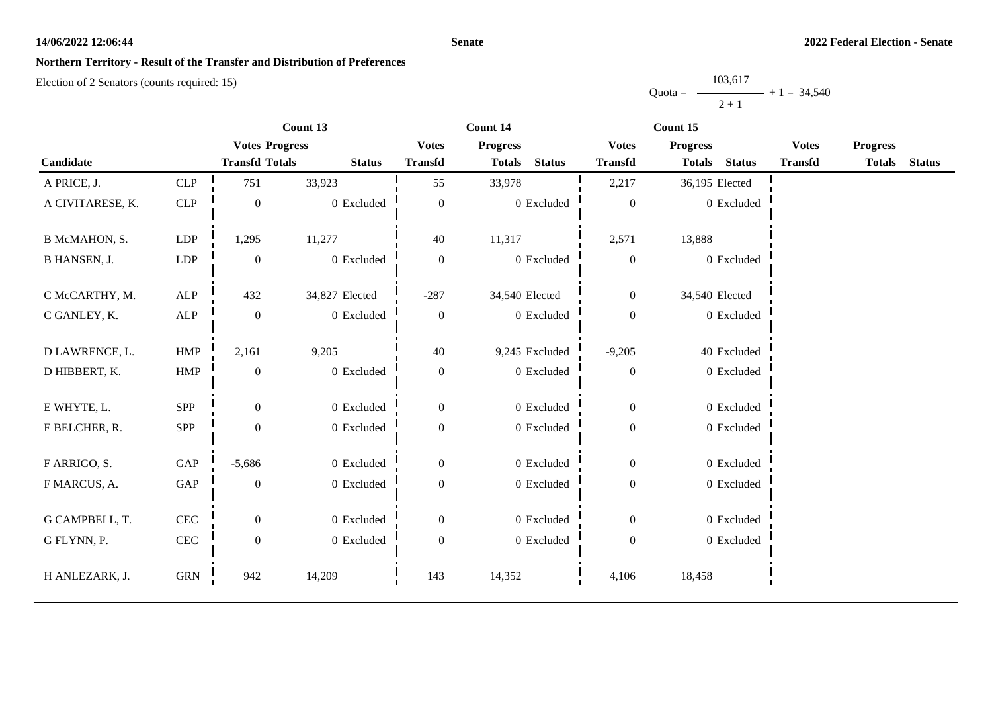### **Senate**

## **Northern Territory - Result of the Transfer and Distribution of Preferences**

|           | 103,617 |               |
|-----------|---------|---------------|
| $Quota =$ |         | $+1 = 34,540$ |
|           | $2 + 1$ |               |

|                     |                      | Count 13              |                |                  | Count 14                       |                  | Count 15                       |                |                 |               |
|---------------------|----------------------|-----------------------|----------------|------------------|--------------------------------|------------------|--------------------------------|----------------|-----------------|---------------|
|                     |                      | <b>Votes Progress</b> |                | <b>Votes</b>     | <b>Progress</b>                | <b>Votes</b>     | <b>Progress</b>                | <b>Votes</b>   | <b>Progress</b> |               |
| Candidate           |                      | <b>Transfd Totals</b> | <b>Status</b>  | <b>Transfd</b>   | <b>Status</b><br><b>Totals</b> | <b>Transfd</b>   | <b>Status</b><br><b>Totals</b> | <b>Transfd</b> | <b>Totals</b>   | <b>Status</b> |
| A PRICE, J.         | CLP                  | 751                   | 33,923         | 55               | 33,978                         | 2,217            | 36,195 Elected                 |                |                 |               |
| A CIVITARESE, K.    | CLP                  | $\boldsymbol{0}$      | 0 Excluded     | $\boldsymbol{0}$ | 0 Excluded                     | $\boldsymbol{0}$ | 0 Excluded                     |                |                 |               |
| B McMAHON, S.       | LDP                  | 1,295                 | 11,277         | 40               | 11,317                         | 2,571            | 13,888                         |                |                 |               |
| <b>B HANSEN, J.</b> | LDP                  | $\mathbf{0}$          | 0 Excluded     | $\boldsymbol{0}$ | 0 Excluded                     | $\boldsymbol{0}$ | 0 Excluded                     |                |                 |               |
| C McCARTHY, M.      | ${\sf ALP}$          | 432                   | 34,827 Elected | $-287$           | 34,540 Elected                 | $\boldsymbol{0}$ | 34,540 Elected                 |                |                 |               |
| C GANLEY, K.        | ${\sf ALP}$          | $\mathbf{0}$          | 0 Excluded     | $\overline{0}$   | 0 Excluded                     | $\boldsymbol{0}$ | 0 Excluded                     |                |                 |               |
| D LAWRENCE, L.      | HMP                  | 2,161                 | 9,205          | $40\,$           | 9,245 Excluded                 | $-9,205$         | 40 Excluded                    |                |                 |               |
| D HIBBERT, K.       | <b>HMP</b>           | $\overline{0}$        | 0 Excluded     | $\mathbf{0}$     | 0 Excluded                     | $\boldsymbol{0}$ | 0 Excluded                     |                |                 |               |
| E WHYTE, L.         | <b>SPP</b>           | $\boldsymbol{0}$      | 0 Excluded     | $\boldsymbol{0}$ | 0 Excluded                     | $\boldsymbol{0}$ | 0 Excluded                     |                |                 |               |
| E BELCHER, R.       | SPP                  | $\boldsymbol{0}$      | 0 Excluded     | $\boldsymbol{0}$ | 0 Excluded                     | $\boldsymbol{0}$ | 0 Excluded                     |                |                 |               |
| F ARRIGO, S.        | GAP                  | $-5,686$              | 0 Excluded     | $\boldsymbol{0}$ | 0 Excluded                     | $\overline{0}$   | 0 Excluded                     |                |                 |               |
| F MARCUS, A.        | $\operatorname{GAP}$ | $\overline{0}$        | $0$ Excluded   | $\boldsymbol{0}$ | 0 Excluded                     | $\boldsymbol{0}$ | 0 Excluded                     |                |                 |               |
| G CAMPBELL, T.      | $\mbox{CEC}$         | $\overline{0}$        | 0 Excluded     | $\boldsymbol{0}$ | 0 Excluded                     | $\boldsymbol{0}$ | 0 Excluded                     |                |                 |               |
| G FLYNN, P.         | $\mbox{CEC}$         | $\boldsymbol{0}$      | 0 Excluded     | $\boldsymbol{0}$ | 0 Excluded                     | $\boldsymbol{0}$ | 0 Excluded                     |                |                 |               |
| H ANLEZARK, J.      | <b>GRN</b>           | 942                   | 14,209         | 143              | 14,352                         | 4,106            | 18,458                         |                |                 |               |